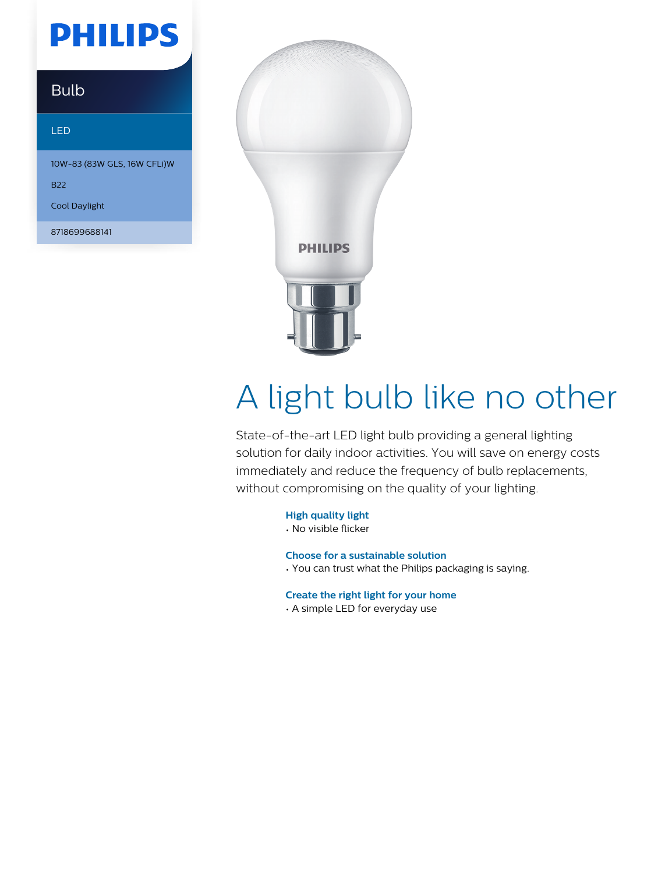## **PHILIPS**

### Bulb

#### LED

10W-83 (83W GLS, 16W CFLi)W

B22

Cool Daylight

8718699688141



# A light bulb like no other

State-of-the-art LED light bulb providing a general lighting solution for daily indoor activities. You will save on energy costs immediately and reduce the frequency of bulb replacements, without compromising on the quality of your lighting.

**High quality light**

• No visible flicker

**Choose for a sustainable solution**

• You can trust what the Philips packaging is saying.

**Create the right light for your home**

• A simple LED for everyday use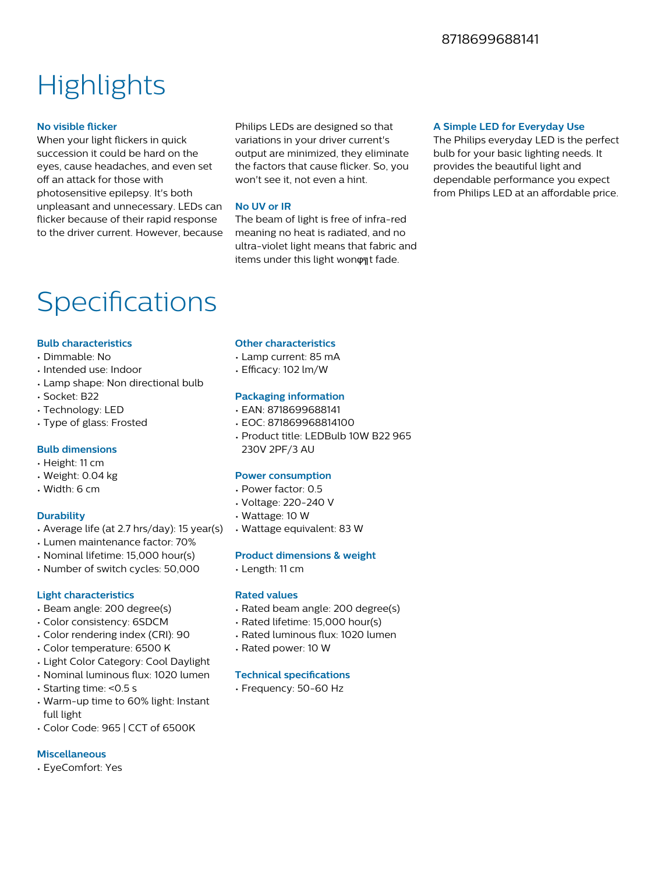### **Highlights**

#### **No visible flicker**

When your light flickers in quick succession it could be hard on the eyes, cause headaches, and even set off an attack for those with photosensitive epilepsy. It's both unpleasant and unnecessary. LEDs can flicker because of their rapid response to the driver current. However, because

Philips LEDs are designed so that variations in your driver current's output are minimized, they eliminate the factors that cause flicker. So, you won't see it, not even a hint.

#### **No UV or IR**

The beam of light is free of infra-red meaning no heat is radiated, and no ultra-violet light means that fabric and items under this light wonφηt fade.

#### **A Simple LED for Everyday Use**

The Philips everyday LED is the perfect bulb for your basic lighting needs. It provides the beautiful light and dependable performance you expect from Philips LED at an affordable price.

### Specifications

#### **Bulb characteristics**

- Dimmable: No
- Intended use: Indoor
- Lamp shape: Non directional bulb
- Socket: B22
- Technology: LED
- Type of glass: Frosted

#### **Bulb dimensions**

- Height: 11 cm
- Weight: 0.04 kg
- Width: 6 cm

#### **Durability**

- Average life (at 2.7 hrs/day): 15 year(s)
- Lumen maintenance factor: 70%
- Nominal lifetime: 15,000 hour(s)
- Number of switch cycles: 50,000

#### **Light characteristics**

- Beam angle: 200 degree(s)
- Color consistency: 6SDCM
- Color rendering index (CRI): 90
- Color temperature: 6500 K
- Light Color Category: Cool Daylight
- Nominal luminous flux: 1020 lumen
- Starting time: <0.5 s
- Warm-up time to 60% light: Instant full light
- Color Code: 965 | CCT of 6500K

#### **Miscellaneous**

• EyeComfort: Yes

#### **Other characteristics**

- Lamp current: 85 mA
- $\cdot$  Efficacy: 102 lm/W

#### **Packaging information**

- EAN: 8718699688141
- EOC: 871869968814100
- Product title: LEDBulb 10W B22 965 230V 2PF/3 AU

#### **Power consumption**

- Power factor: 0.5
- Voltage: 220-240 V
- Wattage: 10 W
- Wattage equivalent: 83 W

#### **Product dimensions & weight**

• Length: 11 cm

#### **Rated values**

- Rated beam angle: 200 degree(s)
- Rated lifetime: 15,000 hour(s)
- Rated luminous flux: 1020 lumen
- Rated power: 10 W

#### **Technical specifications**

• Frequency: 50-60 Hz